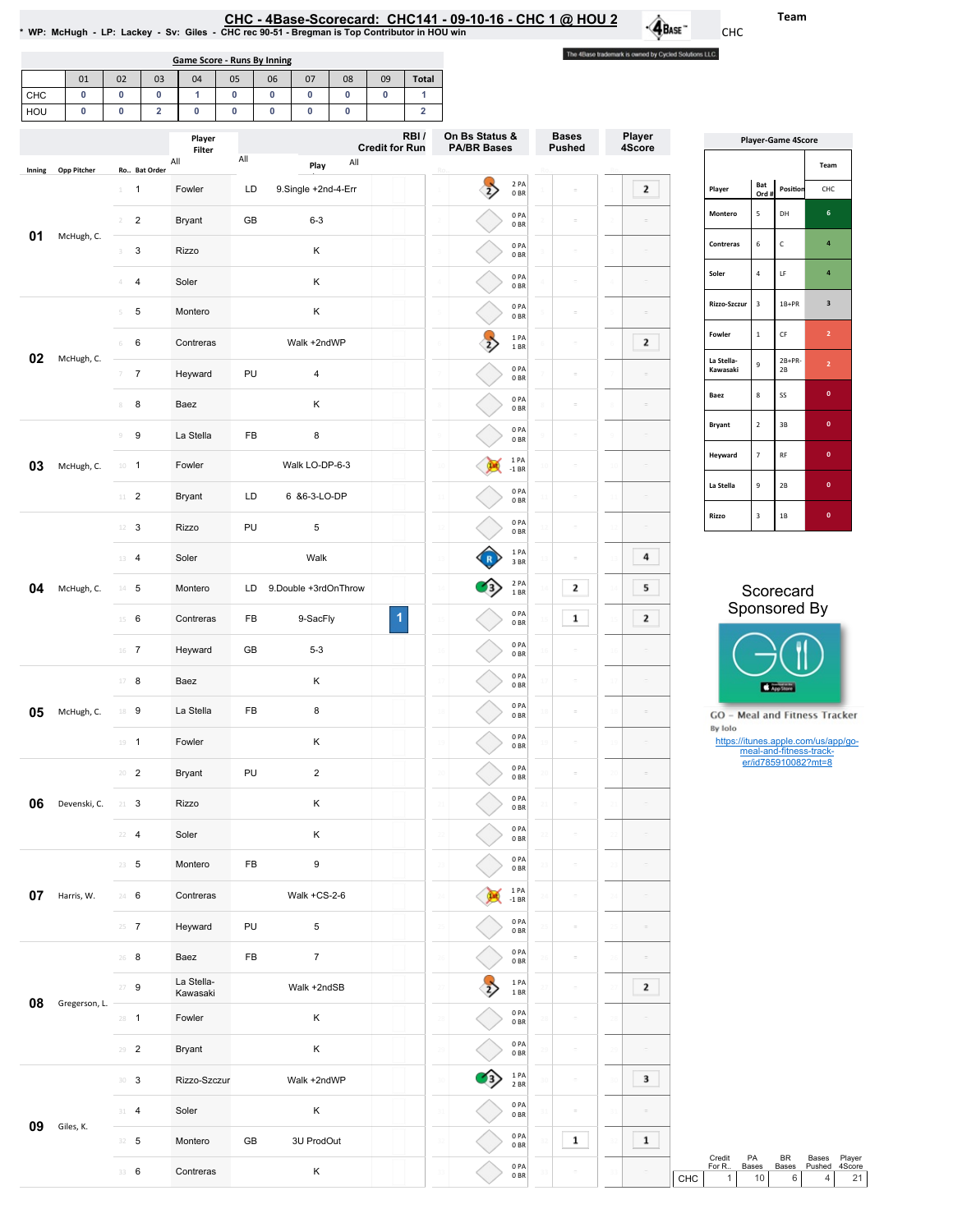| CHC - 4Base-Scorecard: CHC141 - 09-10-16 - CHC 1 @ HOU 2                                    |  |
|---------------------------------------------------------------------------------------------|--|
| NP: McHugh - LP: Lackey - Sv: Giles - CHC rec 90-51 - Bregman is Top Contributor in HOU win |  |

Game Score - Runs By Inning

The 4Base trademark is owned by Cycled Solutions LLC.

 $\mathbf{\hat{A}}$ Base

|            | 01                 | 02             | 03                           | 04                     | 05                     | 06                         | 07                      | 08                       | 09                    | <b>Total</b>                   |                                      |                         |                               |                  |                                                 |                           |                           |                                                       |
|------------|--------------------|----------------|------------------------------|------------------------|------------------------|----------------------------|-------------------------|--------------------------|-----------------------|--------------------------------|--------------------------------------|-------------------------|-------------------------------|------------------|-------------------------------------------------|---------------------------|---------------------------|-------------------------------------------------------|
| CHC<br>HOU | 0<br>0             | 0<br>0         | 0<br>$\overline{\mathbf{2}}$ | 1<br>$\mathbf 0$       | $\pmb{0}$<br>$\pmb{0}$ | $\mathbf 0$<br>$\mathbf 0$ | 0<br>0                  | $\mathbf 0$<br>$\pmb{0}$ | $\pmb{0}$             | $\mathbf{1}$<br>$\overline{2}$ |                                      |                         |                               |                  |                                                 |                           |                           |                                                       |
|            |                    |                |                              | Player                 |                        |                            |                         |                          | <b>Credit for Run</b> | RBI/                           | On Bs Status &<br><b>PA/BR Bases</b> |                         | <b>Bases</b><br><b>Pushed</b> | Player<br>4Score |                                                 |                           | <b>Player-Game 4Score</b> |                                                       |
| Inning     | <b>Opp Pitcher</b> |                | Ro Bat Order                 | Filter<br>All          | All                    |                            | Play                    | All                      |                       |                                |                                      |                         |                               |                  |                                                 |                           |                           | Team                                                  |
|            |                    | $1 \quad 1$    |                              | Fowler                 | LD                     |                            | 9.Single +2nd-4-Err     |                          |                       |                                | $\overrightarrow{2}$                 | 2 PA<br>0BR             |                               | 2                | Player                                          | Bat<br>Ord#               | Position                  | CHC                                                   |
| 01         | McHugh, C.         | $2 -$          | $\overline{2}$               | <b>Bryant</b>          | GB                     |                            | $6 - 3$                 |                          |                       |                                |                                      | 0PA<br>0 <sub>BR</sub>  | $\overline{a}$                |                  | Montero                                         | $\sqrt{5}$                | DH                        | $\bf 6$                                               |
|            |                    | 3              | 3                            | Rizzo                  |                        |                            | Κ                       |                          |                       |                                |                                      | 0PA<br>0BR              | $\bar{a}$                     |                  | Contreras                                       | $\sf 6$                   | $\mathsf{C}$              | 4                                                     |
|            |                    | $4 -$          | $\overline{4}$               | Soler                  |                        |                            | Κ                       |                          |                       |                                |                                      | 0PA<br>0BR              | ÷                             |                  | Soler                                           | $\sqrt{4}$                | LF                        | $\,$ 4 $\,$                                           |
|            |                    | 5              | 5                            | Montero                |                        |                            | Κ                       |                          |                       |                                |                                      | 0PA<br>0BR              | $\equiv$                      |                  | Rizzo-Szczur                                    | $\ensuremath{\mathsf{3}}$ | $1B+PR$                   | $\mathbf 3$                                           |
| 02         | McHugh, C.         | 6              | 6                            | Contreras              |                        |                            | Walk +2ndWP             |                          |                       |                                | $\Rightarrow$                        | 1PA<br>1 BR             | $\equiv$                      | 2                | Fowler                                          | $1\,$                     | $\mathsf{CF}$             | $\overline{2}$                                        |
|            |                    | $7 -$          | $\overline{7}$               | Heyward                | PU                     |                            | 4                       |                          |                       |                                |                                      | 0PA<br>0BR              | ×                             |                  | La Stella-<br>Kawasaki                          | $\boldsymbol{9}$          | $2B+PR-$<br>$2\mathsf{B}$ | $\overline{2}$                                        |
|            |                    | 8              | 8                            | Baez                   |                        |                            | Κ                       |                          |                       |                                |                                      | 0PA<br>0BR              |                               |                  | Baez                                            | $\bf 8$                   | SS                        | $\mathbf 0$                                           |
|            |                    | $\,$ $\,$ $\,$ | 9                            | La Stella              | FB                     |                            | 8                       |                          |                       |                                |                                      | 0PA<br>0 <sub>BR</sub>  | $\overline{a}$                |                  | <b>Bryant</b>                                   | $\mathbf 2$               | $3\mathsf{B}$             | $\mathbf 0$                                           |
| 03         | McHugh, C.         | $10 - 1$       |                              | Fowler                 |                        |                            | Walk LO-DP-6-3          |                          |                       |                                |                                      | 1 PA<br>$-1$ BR         | $\equiv$                      |                  | Heyward                                         | $\boldsymbol{7}$          | $\mathsf{RF}$             | $\bullet$                                             |
|            |                    | $11$ 2         |                              | <b>Bryant</b>          | LD                     |                            | 6 & 6-3-LO-DP           |                          |                       |                                |                                      | 0PA<br>0 <sub>BR</sub>  |                               |                  | La Stella                                       | $\boldsymbol{9}$          | 2B                        | $\mathbf 0$                                           |
|            |                    | $12 \quad 3$   |                              | Rizzo                  | PU                     |                            | 5                       |                          |                       |                                |                                      | 0PA<br>0BR              |                               |                  | Rizzo                                           | $\mathsf 3$               | $1\mathsf{B}$             | $\mathbf{0}^-$                                        |
|            |                    | 13 4           |                              | Soler                  |                        |                            | Walk                    |                          |                       |                                | $\mathbb{R}$                         | 1PA<br>3BR              |                               | 4                |                                                 |                           |                           |                                                       |
| 04         | McHugh, C.         | $14 - 5$       |                              | Montero                | LD                     |                            |                         | 9.Double +3rdOnThrow     |                       |                                | $\rightarrow$                        | 2 PA<br>1 BR            | 2                             | 5                |                                                 |                           | Scorecard                 |                                                       |
|            |                    | $15 \t 6$      |                              | Contreras              | FB                     |                            | 9-SacFly                |                          | $\overline{1}$        |                                |                                      | 0PA<br>0BR              | $\mathbf{1}$                  | 2                |                                                 |                           | Sponsored By              |                                                       |
|            |                    | $16$ 7         |                              | Heyward                | GB                     |                            | $5 - 3$                 |                          |                       |                                |                                      | 0PA<br>0 <sub>BR</sub>  |                               |                  |                                                 |                           |                           |                                                       |
|            |                    | $17 - 8$       |                              | Baez                   |                        |                            | Κ                       |                          |                       |                                |                                      | 0PA<br>0BR              | $\equiv$                      |                  |                                                 |                           | App Store                 |                                                       |
| 05         | McHugh, C.         | 18 9           |                              | La Stella              | FB                     |                            | 8                       |                          |                       |                                |                                      | 0PA<br>0BR              |                               |                  | <b>GO</b> - Meal and Fitness Tracker<br>By Iolo |                           |                           |                                                       |
|            |                    | $19 - 1$       |                              | Fowler                 |                        |                            | Κ                       |                          |                       |                                |                                      | 0PA<br>0BR              | ÷                             |                  | https://itunes.apple.com/us/app/go-             |                           | meal-and-fitness-track-   |                                                       |
|            |                    | $20 - 2$       |                              | Bryant                 | PU                     |                            | $\overline{\mathbf{c}}$ |                          |                       |                                |                                      | 0PA<br>0B               |                               |                  |                                                 |                           | er/id785910082?mt=8       |                                                       |
| 06         | Devenski, C.       | $21 - 3$       |                              | Rizzo                  |                        |                            | Κ                       |                          |                       |                                |                                      | 0PA<br>0BR              |                               |                  |                                                 |                           |                           |                                                       |
|            |                    | $22 - 4$       |                              | Soler                  |                        |                            | Κ                       |                          |                       |                                |                                      | 0PA<br>0BR              | $\equiv$                      |                  |                                                 |                           |                           |                                                       |
|            |                    | $23 - 5$       |                              | Montero                | FB                     |                            | 9                       |                          |                       |                                |                                      | 0PA<br>0B               | ÷                             |                  |                                                 |                           |                           |                                                       |
| 07         | Harris, W.         | 24 6           |                              | Contreras              |                        |                            | Walk +CS-2-6            |                          |                       |                                |                                      | 1 PA<br>$-1$ BR         | $\sim$                        |                  |                                                 |                           |                           |                                                       |
|            |                    | $25 \t{7}$     |                              | Heyward                | PU                     |                            | 5                       |                          |                       |                                |                                      | 0PA<br>0BR              |                               |                  |                                                 |                           |                           |                                                       |
|            |                    | $26$ 8         |                              | Baez                   | FB                     |                            | $\overline{7}$          |                          |                       |                                |                                      | 0PA<br>0BR              | $\sim$                        |                  |                                                 |                           |                           |                                                       |
| 08         | Gregerson, L.      | $27 - 9$       |                              | La Stella-<br>Kawasaki |                        |                            | Walk +2ndSB             |                          |                       |                                | $\overrightarrow{2}$                 | 1PA<br>1 BR             | $\bar{a}$                     | $\overline{2}$   |                                                 |                           |                           |                                                       |
|            |                    | $28 - 1$       |                              | Fowler                 |                        |                            | Κ                       |                          |                       |                                |                                      | 0PA<br>0BR              | $\overline{a}$                |                  |                                                 |                           |                           |                                                       |
|            |                    | $29 - 2$       |                              | Bryant                 |                        |                            | Κ                       |                          |                       |                                |                                      | 0PA<br>0BR              | $\equiv$                      |                  |                                                 |                           |                           |                                                       |
|            |                    | $30-3$         |                              | Rizzo-Szczur           |                        |                            | Walk +2ndWP             |                          |                       |                                | $\mathbf{r}_3$                       | 1PA<br>2 BR             | $\equiv$                      | 3                |                                                 |                           |                           |                                                       |
| 09         |                    | $31 - 4$       |                              | Soler                  |                        |                            | Κ                       |                          |                       |                                |                                      | 0PA<br>0BR              |                               |                  |                                                 |                           |                           |                                                       |
|            | Giles, K.          | $32 - 5$       |                              | Montero                | GB                     |                            | 3U ProdOut              |                          |                       |                                |                                      | 0PA<br>0BR              | $\mathbf{1}$                  | $\mathbf{1}$     |                                                 |                           |                           |                                                       |
|            |                    | 33 6           |                              | Contreras              |                        |                            | Κ                       |                          |                       |                                |                                      | 0PA<br>$0\;\mathrm{BR}$ |                               |                  | Credit<br>For R<br>CHC<br>-1                    | PA<br>Bases<br>10         | BR<br>Bases<br>6          | Player<br>Bases<br>Pushed<br>4Score<br>$\overline{4}$ |

| <b>Player-Game 4Score</b> |                         |                |                         |  |  |  |  |  |  |  |
|---------------------------|-------------------------|----------------|-------------------------|--|--|--|--|--|--|--|
|                           |                         |                | Team                    |  |  |  |  |  |  |  |
| Player                    | Bat<br>Ord#             | Position       | CHC                     |  |  |  |  |  |  |  |
| Montero                   | 5                       | DH             | 6                       |  |  |  |  |  |  |  |
| Contreras                 | 6                       | Ċ              | 4                       |  |  |  |  |  |  |  |
| Soler                     | 4                       | LF             | 4                       |  |  |  |  |  |  |  |
| Rizzo-Szczur              | $\overline{\mathbf{3}}$ | 1B+PR          | 3                       |  |  |  |  |  |  |  |
| Fowler                    | $\mathbf{1}$            | CF             | $\overline{\mathbf{c}}$ |  |  |  |  |  |  |  |
| La Stella-<br>Kawasaki    | 9                       | $2B+PR-$<br>2B | $\overline{a}$          |  |  |  |  |  |  |  |
| Baez                      | 8                       | SS             | $\mathbf{0}$            |  |  |  |  |  |  |  |
| <b>Bryant</b>             | $\overline{2}$          | 3B             | $\mathbf{0}$            |  |  |  |  |  |  |  |
| Heyward                   | $\overline{7}$          | <b>RF</b>      | O                       |  |  |  |  |  |  |  |
| La Stella                 | 9                       | 2B             | $\mathbf{0}$            |  |  |  |  |  |  |  |
| Rizzo                     | $\overline{3}$          | 1B             | $\mathbf{0}$            |  |  |  |  |  |  |  |

### Scorecard Sponsored By



Team

CHC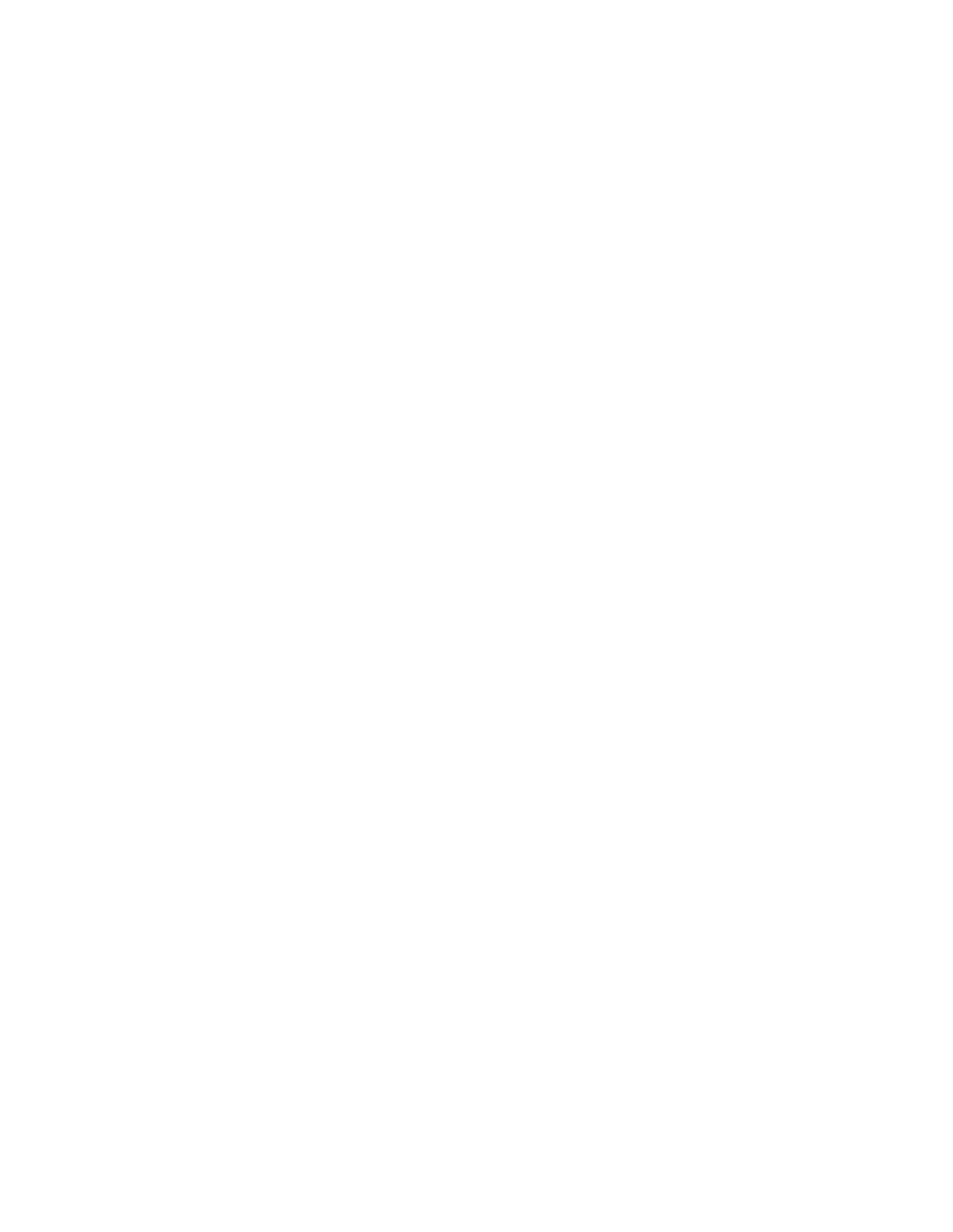|         |                           |               |              | <u>' u ^ } Œr Zµv• Ç/vv]v</u> P |    |                      |    |                             |                          |                |       |                                                              |                  |                |                                 |                                  |                        |                                                       |
|---------|---------------------------|---------------|--------------|---------------------------------|----|----------------------|----|-----------------------------|--------------------------|----------------|-------|--------------------------------------------------------------|------------------|----------------|---------------------------------|----------------------------------|------------------------|-------------------------------------------------------|
| $8 + 8$ | ìí                        | ìî            | ìï           | ìð                              | ìñ |                      | ìò | ìó                          | ìô                       | ìõ             | d}šo  |                                                              |                  |                |                                 |                                  |                        |                                                       |
| $+28$   |                           |               |              |                                 |    |                      |    |                             |                          |                |       |                                                              |                  |                |                                 |                                  |                        |                                                       |
|         |                           |               |              | Wo Ç Œ<br>8]oš OE               |    |                      |    |                             |                          | & UHGLWIRU5 XQ | $5\%$ | 2 Q%V 6 VDWXV<br>3\$ %5 %DVHV                                | %DVHV<br>3 XVKHG | 30 MU<br>6FRUH |                                 |                                  | WoÇŒE u ð^}Œ           |                                                       |
|         | /vv]vP K‰WjšZ Œ           |               | Z} XX ŠKOE C | $\pmb{\circledcirc}$            |    | $\pmb{\circledcirc}$ |    | WoÇ                         | $\pmb{\circledcirc}$     |                |       |                                                              |                  |                |                                 |                                  |                        | $d$ u                                                 |
|         |                           | $\pm$         |              | ) RZ ONU                        |    | $\prime$ '           |    |                             | $61QJ$ $6H$ $QG$ $(W)$   |                |       | $\begin{smallmatrix} \hat{I} & W \\ 1 & Z \end{smallmatrix}$ |                  |                | Wo Ç Œ                          | š<br>KŒ                          | /V)∙jŸ                 | $\,$                                                  |
|         | $D$ , $\mu$ PZU X         | $\hat{\perp}$ |              | <b>%UDOW</b>                    |    | $*$ %                |    |                             |                          |                |       | i W<br>i Z                                                   |                  |                | $D$ } vš $QE$                   | ñ                                |                        | ò                                                     |
|         |                           | ï.            |              | 54]R                            |    |                      |    | $\sim$                      |                          |                |       | ìW<br>$i$ Z                                                  |                  |                | } všOEOE                        | ò                                |                        | ð                                                     |
|         |                           | ð             |              | 6 ROHU                          |    |                      |    | $\cdot$                     |                          |                |       | i W<br>i Z                                                   |                  |                | $^{\wedge}\}$ o Œ               | ð                                | $\mathcal{S}$          | ð                                                     |
|         |                           | ñ             |              | 0 RQMUR                         |    |                      |    | $\cdot$                     |                          |                |       | i W<br>i Z                                                   |                  |                | zjii}r^i iµd‡ ï                 |                                  | $i = WZ$               | $\ddot{\rm I}$ .                                      |
|         |                           | ò             |              | & ROWHUDV                       |    |                      |    | $:$ DON $QG$ 3              |                          |                |       | i W<br>í Z                                                   |                  |                | 8} Áo Œ                         | í                                | &                      |                                                       |
|         | $D$ , $\mu$ PZU X         | ó             |              | $+HZDIB$                        |    | 38                   |    |                             |                          |                |       | ìW<br>i Z                                                    |                  |                | $>$ ^š oo r<br>$<$ A $\cdot$ I] | $\tilde{\mathbf{o}}$             | $i = WZr$<br>Î         |                                                       |
|         |                           | ô             |              | %DHJ                            |    |                      |    | $\sim$                      |                          |                |       | $\begin{smallmatrix} 1 & W \\ 1 & Z \end{smallmatrix}$       |                  |                | - ì                             | ô                                | $\mathsf{v}\mathsf{v}$ | $\mathbf{1}$                                          |
|         |                           | õ             |              | /D6WKOD                         |    | ) %                  |    |                             |                          |                |       | i W<br>i Z                                                   |                  |                | 0Ç vš                           | $\hat{I}$                        | $\ddot{\text{I}}$      | $\mathbf{I}$                                          |
|         | $D$ , $\mu$ PZUX $\Box$   |               |              | ) RZ ®IU                        |    |                      |    | $\therefore$ DON/2 '3       |                          |                |       | í W                                                          |                  |                | , ÇÁ Œ                          | ó                                | Z&                     | $\mathbf{1}$                                          |
|         |                           | i í           |              | <b>%UDOW</b>                    |    | $\prime$ .           |    |                             | $/2$ ' 3                 |                |       | rí Z<br>i W                                                  |                  |                | $>$ ^s $\omega$                 | õ                                | $\hat{I}$              | $\mathbf{1}$                                          |
|         |                           |               |              |                                 |    |                      |    |                             |                          |                |       | i Z<br>i W                                                   |                  |                | zjì ì }                         | ï                                | $\mathfrak{f}$         | $\mathbf{I}$                                          |
|         |                           | íî            |              | 54]R                            |    | 38                   |    |                             |                          |                |       | i Z<br>í W                                                   |                  |                |                                 |                                  |                        |                                                       |
|         |                           | íï            |              | 6 ROHU                          |    |                      |    | $\therefore$ DON            |                          |                |       | $i$ $z$<br>îW                                                |                  |                |                                 |                                  |                        |                                                       |
|         | $D$ , $\mu$ PZUX ið       |               |              | 0 ROMUR                         |    | $\prime$ .           |    |                             | <b>RXEOH LG2 O7 KURZ</b> |                |       | $i$ Z                                                        |                  |                |                                 | 6 FRU+FDUG<br><b>6 SROVRUHG%</b> |                        |                                                       |
|         |                           | íñ            |              | & ROWHUDV                       |    | ) %                  |    | 6DF) Q                      |                          |                |       | i W<br>i Z                                                   |                  |                |                                 |                                  |                        |                                                       |
|         |                           | íò            |              | $+HZDUS$                        |    | $*$ %                |    |                             |                          |                |       | i W<br>i Z                                                   |                  |                |                                 |                                  |                        |                                                       |
|         |                           | íó            |              | %DHJ                            |    |                      |    | $\sim$                      |                          |                |       | i W<br>i Z                                                   |                  |                |                                 |                                  |                        |                                                       |
|         | <b>D</b> , $\mu$ PZUX i ô |               |              | /D6WKOD                         |    | ) %                  |    |                             |                          |                |       | i W<br>i Z                                                   |                  |                |                                 |                                  |                        |                                                       |
|         |                           | íõ            |              | ) RZ ®IU                        |    |                      |    | $\epsilon$                  |                          |                |       | i W<br>$i$ Z                                                 |                  |                |                                 |                                  |                        | KWOSV LWACH VDSSOH FRP XVDSSJR<br>PHDODOG LLWAH VWDFN |
|         |                           | $-11$         |              | <b>%UDQW</b>                    |    | 38                   |    |                             |                          |                |       | i W<br>i Z                                                   |                  |                |                                 | <b>HUIG</b>                      |                        | <u>"PW</u>                                            |
|         | À v∙l]U X îí              |               |              | 5 L ] R                         |    |                      |    | $\sim$                      |                          |                |       | i W<br>i Z                                                   |                  |                |                                 |                                  |                        |                                                       |
|         |                           | $-11$         |              | 6 ROHU                          |    |                      |    | $\sim$                      |                          |                |       | i W<br>i Z                                                   |                  |                |                                 |                                  |                        |                                                       |
|         |                           | $-11$         |              | 0 ROMUR                         |    | ) %                  |    |                             |                          |                |       | i W<br>i Z                                                   |                  |                |                                 |                                  |                        |                                                       |
|         | , OCEEUIX îŏ              |               |              | & ROWHUDV                       |    |                      |    | $\therefore$ DON & 6        |                          |                |       | i W<br>rí Z                                                  |                  |                |                                 |                                  |                        |                                                       |
|         |                           | îñ            |              | $+HZDUS$                        |    | 38                   |    |                             |                          |                |       | i W<br>i Z                                                   |                  |                |                                 |                                  |                        |                                                       |
|         |                           | îò            |              | %DH]                            |    | ) %                  |    |                             |                          |                |       | i W<br>i Z                                                   |                  |                |                                 |                                  |                        |                                                       |
|         |                           | ÎÓ            |              | /D6WKOD<br>. DZ DVDNL           |    |                      |    | : DON: QG6%                 |                          |                |       | í W<br>$i$ Z                                                 |                  |                |                                 |                                  |                        |                                                       |
|         | ' OFP OB VUX              | îô            |              | ) RZ ONU                        |    |                      |    | $\mathcal{L}_{\mathcal{A}}$ |                          |                |       | i W                                                          |                  |                |                                 |                                  |                        |                                                       |
|         |                           | Îõ            |              | <b>%UDOW</b>                    |    |                      |    | <b>Contractor</b>           |                          |                |       | i Z<br>i W                                                   |                  |                |                                 |                                  |                        |                                                       |
|         |                           | $\mathbf{H}$  |              | 5 L ] R 6 ] F ] XU              |    |                      |    | $\therefore$ DON QG 3       |                          |                |       | ìZ<br>i W                                                    |                  |                |                                 |                                  |                        |                                                       |
|         |                           |               |              |                                 |    |                      |    |                             |                          |                |       | $i$ Z<br>i W                                                 |                  |                |                                 |                                  |                        |                                                       |
|         | ']o∙UkX                   | - Tí          |              | 6 ROHU                          |    |                      |    | $\sim$                      |                          |                |       | i Z<br>i W                                                   |                  |                |                                 |                                  |                        |                                                       |
|         |                           | ΪÎ            |              | 0 ROMUR                         |    | $*$ %                |    | 8 3 URG2 XW                 |                          |                |       | i Z                                                          |                  |                | &UHGLW 3\$<br>)RU5 %DVHV        |                                  |                        | %5 %DVHV 300AH<br>%DVHV 3XVKHG 6FRU                   |
|         |                           | $\top \top$   |              | & ROWHUDV                       |    |                      |    | $\sim$                      |                          |                |       | ìW<br>$i \, z$                                               |                  |                | $8 + 8$                         |                                  |                        |                                                       |

: 3 OF+XJK /3 /DFNH 6Y \*LONV  $\frac{8+8}{8+8.015}$  %DVH6FRUHFDUG  $\frac{8+8}{8+8.015}$   $\frac{8+8}{8+8.015}$   $\frac{8+8}{8+8.015}$   $\frac{8+8}{8+8.015}$   $\frac{8+8}{8+8.015}$   $\frac{8+8}{8+8.015}$   $\frac{8+8}{8+8.015}$   $\frac{8+8}{8+8.015}$   $\frac{8+8}{8+8.015}$ 

 $d$  u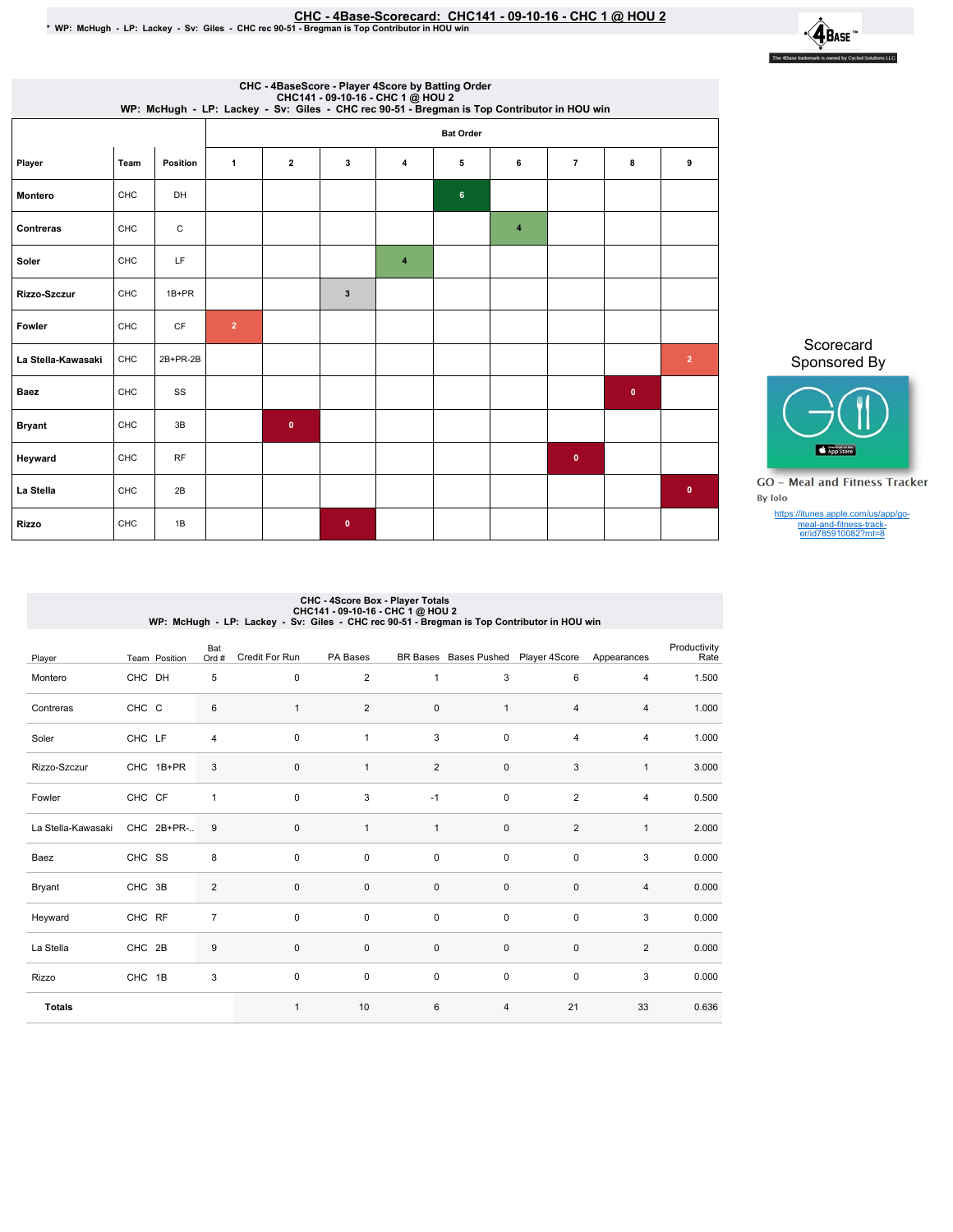## CHC-4Base-Scorecard:CHC141-09-10-16-CHC1@ HOU2 \*WP:McHugh-LP:Lackey-Sv:Giles-CHCrec90-51-BregmanisTopContributorinHOUwin



|                    | CHC - 4BaseScore - Player 4Score by Batting Order<br>CHC141 - 09-10-16 - CHC 1 @ HOU 2<br>WP: McHugh - LP: Lackey - Sv: Giles - CHC rec 90-51 - Bregman is Top Contributor in HOU win |           |                |              |                         |                         |                  |                |                          |           |                |  |  |  |  |
|--------------------|---------------------------------------------------------------------------------------------------------------------------------------------------------------------------------------|-----------|----------------|--------------|-------------------------|-------------------------|------------------|----------------|--------------------------|-----------|----------------|--|--|--|--|
|                    |                                                                                                                                                                                       |           |                |              |                         |                         | <b>Bat Order</b> |                |                          |           |                |  |  |  |  |
| Player             | Team                                                                                                                                                                                  | Position  | $\mathbf{1}$   | $\mathbf{2}$ | 3                       | $\overline{\mathbf{4}}$ | 5                | 6              | $\overline{\phantom{a}}$ | 8         | 9              |  |  |  |  |
| <b>Montero</b>     | CHC                                                                                                                                                                                   | DH        |                |              |                         |                         | $6\phantom{a}$   |                |                          |           |                |  |  |  |  |
| Contreras          | <b>CHC</b>                                                                                                                                                                            | C         |                |              |                         |                         |                  | $\overline{4}$ |                          |           |                |  |  |  |  |
| Soler              | CHC                                                                                                                                                                                   | LF        |                |              |                         | $\overline{\mathbf{4}}$ |                  |                |                          |           |                |  |  |  |  |
| Rizzo-Szczur       | CHC                                                                                                                                                                                   | $1B+PR$   |                |              | $\overline{\mathbf{3}}$ |                         |                  |                |                          |           |                |  |  |  |  |
| Fowler             | <b>CHC</b>                                                                                                                                                                            | <b>CF</b> | $\overline{2}$ |              |                         |                         |                  |                |                          |           |                |  |  |  |  |
| La Stella-Kawasaki | CHC                                                                                                                                                                                   | 2B+PR-2B  |                |              |                         |                         |                  |                |                          |           | $\overline{2}$ |  |  |  |  |
| <b>Baez</b>        | CHC                                                                                                                                                                                   | SS        |                |              |                         |                         |                  |                |                          | $\bullet$ |                |  |  |  |  |
| <b>Bryant</b>      | CHC                                                                                                                                                                                   | 3B        |                | $\bullet$    |                         |                         |                  |                |                          |           |                |  |  |  |  |
| Heyward            | CHC                                                                                                                                                                                   | <b>RF</b> |                |              |                         |                         |                  |                | $\bullet$                |           |                |  |  |  |  |
| La Stella          | CHC                                                                                                                                                                                   | 2B        |                |              |                         |                         |                  |                |                          |           | $\bullet$      |  |  |  |  |
| <b>Rizzo</b>       | CHC                                                                                                                                                                                   | 1B        |                |              | $\bullet$               |                         |                  |                |                          |           |                |  |  |  |  |

Scorecard Sponsored By



**GO** - Meal and Fitness Tracker By Iolo

https://itunes.apple.com/us/app/go-meal-and-fitness-track-er/id785910082?mt=8

## CHC - 4Score Box - Player Totals<br>CHC141 - 09-10-16 - CHC 10-01-05<br>WP: McHugh - LP: Lackey - Sv: Giles - CHC rec 90-51 - Bregman is Top Contributor in HOU win

| Player             |        | Team Position | Bat<br>Ord #   | Credit For Run | PA Bases       |                | BR Bases Bases Pushed Player 4Score |                | Appearances    | Productivity<br>Rate |
|--------------------|--------|---------------|----------------|----------------|----------------|----------------|-------------------------------------|----------------|----------------|----------------------|
| Montero            | CHC DH |               | 5              | $\mathbf 0$    | $\overline{2}$ | $\mathbf{1}$   | 3                                   | 6              | $\overline{4}$ | 1.500                |
| Contreras          | CHC C  |               | 6              | $\mathbf{1}$   | $\overline{2}$ | $\mathbf 0$    | $\mathbf{1}$                        | 4              | $\overline{4}$ | 1.000                |
| Soler              | CHC LF |               | 4              | 0              | 1              | 3              | 0                                   | 4              | 4              | 1.000                |
| Rizzo-Szczur       |        | CHC 1B+PR     | 3              | $\mathsf 0$    | $\mathbf{1}$   | $\overline{2}$ | $\mathsf 0$                         | 3              | $\mathbf{1}$   | 3.000                |
| Fowler             | CHC CF |               | 1              | $\mathbf 0$    | 3              | $-1$           | $\mathbf 0$                         | $\overline{2}$ | $\overline{4}$ | 0.500                |
| La Stella-Kawasaki |        | CHC 2B+PR-    | 9              | $\mathbf 0$    | $\mathbf{1}$   | $\mathbf{1}$   | $\mathsf 0$                         | 2              | $\mathbf{1}$   | 2.000                |
| Baez               | CHC SS |               | 8              | 0              | 0              | $\pmb{0}$      | 0                                   | 0              | 3              | 0.000                |
| Bryant             | CHC 3B |               | $\overline{2}$ | $\mathbf 0$    | $\pmb{0}$      | $\mathbf 0$    | $\mathsf 0$                         | $\pmb{0}$      | $\overline{4}$ | 0.000                |
| Heyward            | CHC RF |               | $\overline{7}$ | 0              | 0              | $\pmb{0}$      | 0                                   | 0              | 3              | 0.000                |
| La Stella          | CHC 2B |               | 9              | $\mathbf 0$    | $\pmb{0}$      | $\mathbf 0$    | $\mathsf 0$                         | $\pmb{0}$      | $\overline{2}$ | 0.000                |
| Rizzo              | CHC 1B |               | 3              | 0              | 0              | $\pmb{0}$      | 0                                   | 0              | 3              | 0.000                |
| <b>Totals</b>      |        |               |                | $\mathbf{1}$   | 10             | 6              | 4                                   | 21             | 33             | 0.636                |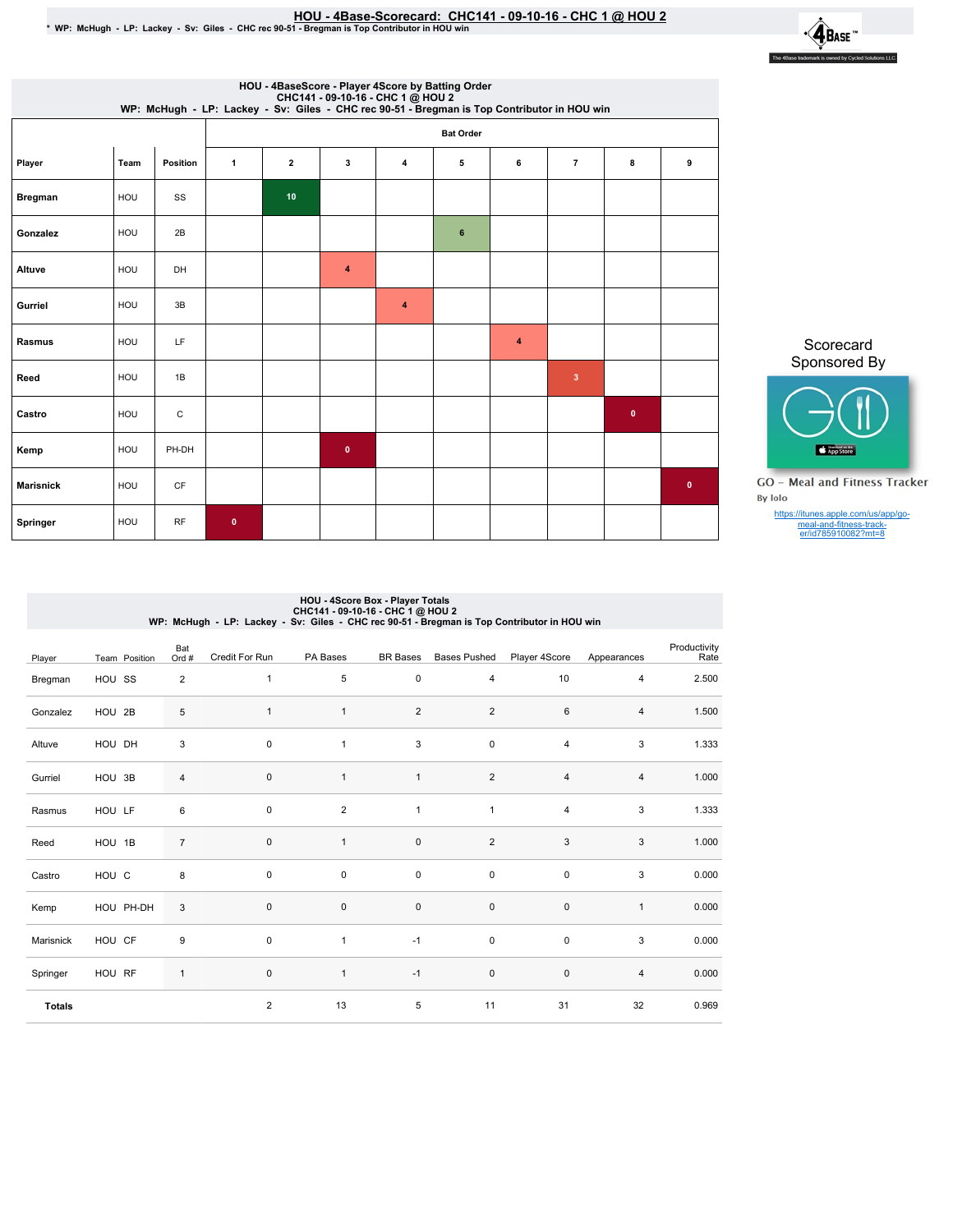## <u>HOU - 4Base-Scorecard: CHC141 - 09-10-16 - CHC 1 @ HOU 2</u><br>• WP: McHugh - LP: Lackey - Sv: Giles - CHC rec 90-51 - Bregman is Top Contributor in HOU win

 $\cdot \hat{\mathbf{A}}$ Base The 4Base trademark is owned by Cycled Solutions LLC.

|                  | HOU - 4BaseScore - Player 4Score by Batting Order<br>CHC141 - 09-10-16 - CHC 1@ HOU 2<br>WP: McHugh - LP: Lackey - Sv: Giles - CHC rec 90-51 - Bregman is Top Contributor in HOU win |              |              |                |           |   |         |   |                |           |              |  |  |  |  |
|------------------|--------------------------------------------------------------------------------------------------------------------------------------------------------------------------------------|--------------|--------------|----------------|-----------|---|---------|---|----------------|-----------|--------------|--|--|--|--|
|                  | <b>Bat Order</b>                                                                                                                                                                     |              |              |                |           |   |         |   |                |           |              |  |  |  |  |
| Player           | Team                                                                                                                                                                                 | Position     | $\mathbf{1}$ | $\overline{2}$ | 3         | 4 | 5       | 6 | $\overline{7}$ | 8         | 9            |  |  |  |  |
| <b>Bregman</b>   | HOU                                                                                                                                                                                  | SS           |              | 10             |           |   |         |   |                |           |              |  |  |  |  |
| Gonzalez         | HOU                                                                                                                                                                                  | 2B           |              |                |           |   | $\bf 6$ |   |                |           |              |  |  |  |  |
| Altuve           | HOU                                                                                                                                                                                  | <b>DH</b>    |              |                | 4         |   |         |   |                |           |              |  |  |  |  |
| Gurriel          | HOU                                                                                                                                                                                  | 3B           |              |                |           | 4 |         |   |                |           |              |  |  |  |  |
| <b>Rasmus</b>    | HOU                                                                                                                                                                                  | LF           |              |                |           |   |         | 4 |                |           |              |  |  |  |  |
| Reed             | HOU                                                                                                                                                                                  | 1B           |              |                |           |   |         |   | $\overline{3}$ |           |              |  |  |  |  |
| Castro           | HOU                                                                                                                                                                                  | $\mathtt{C}$ |              |                |           |   |         |   |                | $\bullet$ |              |  |  |  |  |
| Kemp             | HOU                                                                                                                                                                                  | PH-DH        |              |                | $\bullet$ |   |         |   |                |           |              |  |  |  |  |
| <b>Marisnick</b> | HOU                                                                                                                                                                                  | <b>CF</b>    |              |                |           |   |         |   |                |           | $\mathbf{0}$ |  |  |  |  |
| Springer         | HOU                                                                                                                                                                                  | <b>RF</b>    | $\bullet$    |                |           |   |         |   |                |           |              |  |  |  |  |



Scorecard

**GO** - Meal and Fitness Tracker By Iolo

https://itunes.apple.com/us/app/go-meal-and-fitness-track-er/id785910082?mt=8

# HOU - 4Score Box - Player Totals<br>CHC141 - 09-10-16 - CHC 10 - CHC 10 @ HOU2<br>WP: McHugh - LP: Lackey - Sv: Giles - CHC rec 90-51 - Bregman is Top Contributor in HOU win

| Player        | Team Position | Bat<br>Ord #     | Credit For Run          | PA Bases     | <b>BR</b> Bases | <b>Bases Pushed</b> | Player 4Score  | Appearances  | Productivity<br>Rate |
|---------------|---------------|------------------|-------------------------|--------------|-----------------|---------------------|----------------|--------------|----------------------|
| Bregman       | HOU SS        | $\overline{2}$   | $\mathbf{1}$            | 5            | $\mathsf 0$     | $\overline{4}$      | 10             | 4            | 2.500                |
| Gonzalez      | HOU 2B        | 5                | 1                       | $\mathbf{1}$ | $\overline{c}$  | $\overline{c}$      | $\,6\,$        | 4            | 1.500                |
| Altuve        | HOU DH        | $\mathsf 3$      | $\pmb{0}$               | $\mathbf{1}$ | 3               | $\mathsf 0$         | $\overline{4}$ | $\mathsf 3$  | 1.333                |
| Gurriel       | HOU 3B        | $\overline{4}$   | $\pmb{0}$               | $\mathbf{1}$ | $\mathbf{1}$    | 2                   | $\overline{4}$ | 4            | 1.000                |
| Rasmus        | HOU LF        | 6                | 0                       | 2            | $\mathbf{1}$    | $\mathbf{1}$        | $\overline{4}$ | 3            | 1.333                |
| Reed          | HOU 1B        | $\overline{7}$   | 0                       | $\mathbf{1}$ | $\mathsf 0$     | $\overline{c}$      | 3              | 3            | 1.000                |
| Castro        | HOU C         | 8                | $\mathbf 0$             | $\mathbf 0$  | 0               | $\pmb{0}$           | $\mathsf 0$    | 3            | 0.000                |
| Kemp          | HOU PH-DH     | 3                | 0                       | $\pmb{0}$    | $\mathsf 0$     | $\mathsf 0$         | $\mathbf 0$    | $\mathbf{1}$ | 0.000                |
| Marisnick     | HOU CF        | $\boldsymbol{9}$ | $\mathbf 0$             | $\mathbf{1}$ | $-1$            | $\mathbf 0$         | $\pmb{0}$      | 3            | 0.000                |
| Springer      | HOU RF        | $\overline{1}$   | 0                       | $\mathbf{1}$ | $-1$            | $\mathsf{O}\xspace$ | $\mathbf 0$    | 4            | 0.000                |
| <b>Totals</b> |               |                  | $\overline{\mathbf{c}}$ | 13           | 5               | 11                  | 31             | 32           | 0.969                |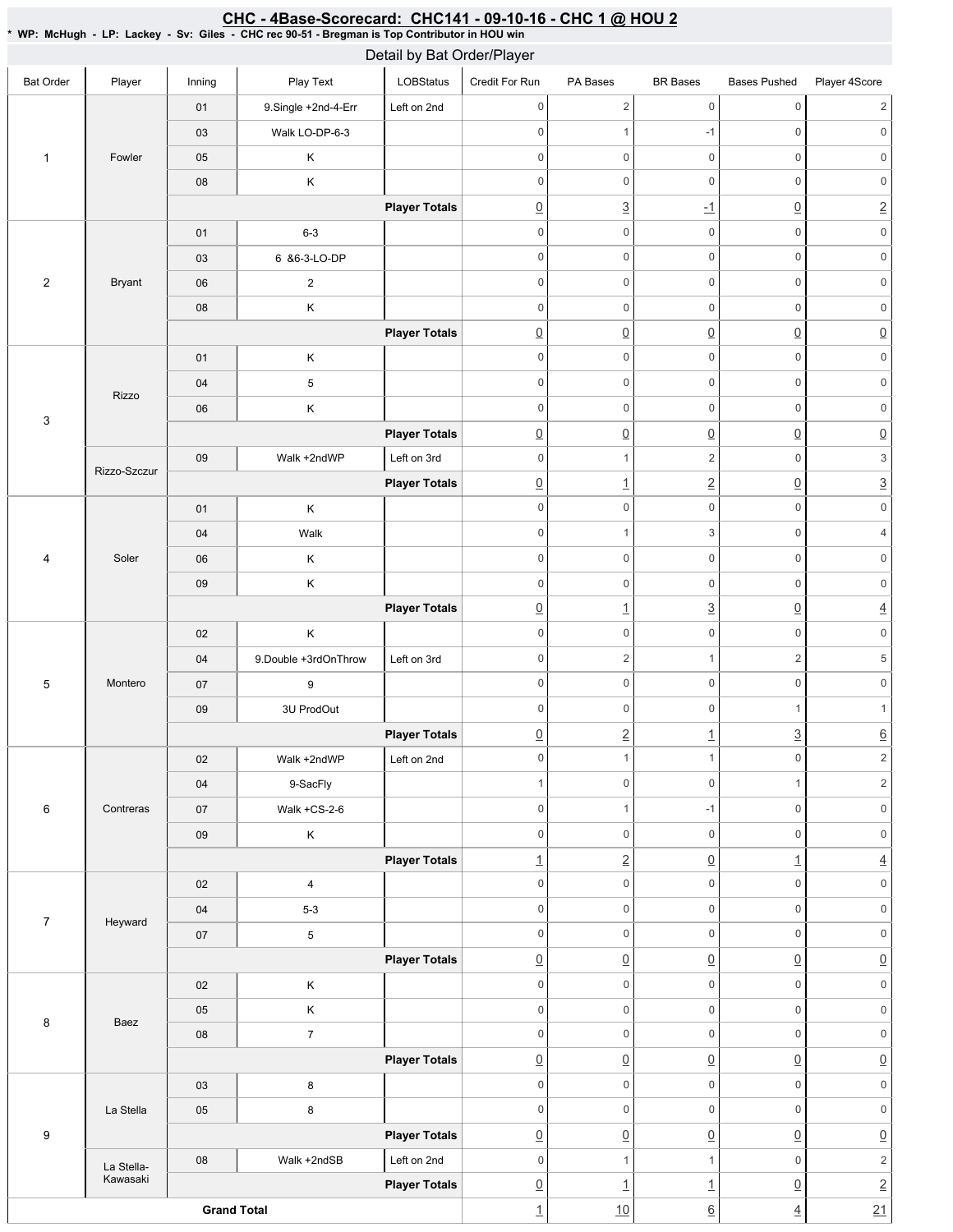#### Bat Order | Player | Inning | PlayText | LOBStatus Credit For Run PA Bases BR Bases Bases Pushed Player 4Score 1 Fowler 01 9.Single +2nd-4-Err Left on 2nd 03 Walk LO-DP-6-3 05 K 08 K **Player Totals** 2 Bryant 01 6-3 03 6 & 6-3-LO-DP 06 2 08 K **Player Totals** 3 Rizzo 01 K 04 5 06 K **Player Totals** Rizzo-Szczur 09 | Walk +2ndWP | Left on 3rd **Player Totals** 4 Soler 01 K 04 Walk 06 K 09 K **Player Totals** 5 Montero 02 K 04 9.Double +3rdOnThrow Left on 3rd 07 9 09 | 3U ProdOut **Player Totals** 6 Contreras 02 Walk +2ndWP Left on 2nd 04 | 9-SacFly 07 | Walk + CS-2-6 09 K **Player Totals** 7 Heyward 02 4 04 5-3 07 5 **Player Totals** 8 Baez 02 K 05 K 08 7 **Player Totals** 9 La Stella 03 8 05 8 **Player Totals** La Stella-Kawasaki 08 | Walk +2ndSB | Left on 2nd **Player Totals Grand Total**  $0 \qquad \qquad 2 \qquad \qquad 0 \qquad \qquad 0 \qquad \qquad 2$ 0 1 -1 0 0 0 0 0 0 0 0 0 0 0 0 0 0 0 3 -1 0 2 0 0 0 0 0 0 0 0 0 0 0 0 0 0 0 0 0 0 0 0 0 0 0 0  $\begin{array}{ccc} \boxed{0} & \boxed{0} & \boxed{0} & \boxed{0} & \boxed{0} \end{array}$ 0 0 0 0 0 0 0 0 0 0 0 0 0 0 0 0 0 0  $\overline{0}$   $\overline{0}$   $\overline{0}$   $\overline{0}$   $\overline{0}$   $\overline{0}$   $\overline{0}$ 0 1 2 0 3 0 1 2 0 3 0 0 0 0 0 0 0 1 3 0 4 0 0 0 0 0 0 0 0 0 0 0 0  $\boxed{0}$  1  $\boxed{3}$   $\boxed{0}$  4 0 0 0 0 0 0 0 2 1 2 5 0 0 0 0 0 0 0 0 1 1 1 0 2 1 3 6 0 1 1 0 2 1 0 0 1 2 0 1 -1 0 0 0 0 0 0 0 0 1 2 0 1 4 0 0 0 0 0 0 0 0 0 0 0 0 0 0 0 0 0 0  $\overline{0}$   $\overline{0}$   $\overline{0}$   $\overline{0}$   $\overline{0}$   $\overline{0}$   $\overline{0}$ 0 0 0 0 0 0 0 0 0 0 0 0 0 0 0 0 0 0  $\overline{0}$   $\overline{0}$   $\overline{0}$   $\overline{0}$   $\overline{0}$   $\overline{0}$   $\overline{0}$ 0 0 0 0 0 0 0 0 0 0 0 0  $\overline{0}$   $\overline{0}$   $\overline{0}$   $\overline{0}$   $\overline{0}$   $\overline{0}$   $\overline{0}$ 0 1 1 0 2  $\begin{array}{ccc} \boxed{0} & 1 & 1 & \boxed{1} & \boxed{0} & \boxed{2} \end{array}$ 1 10 6 4 21 Detail by Bat Order/Player

### <u>CHC - 4Base-Scorecard: CHC141 - 09-10-16 - CHC 1 @ HOU 2</u>

\*WP:McHugh-LP:Lackey-Sv:Giles-CHCrec90-51-BregmanisTopContributorinHOUwin